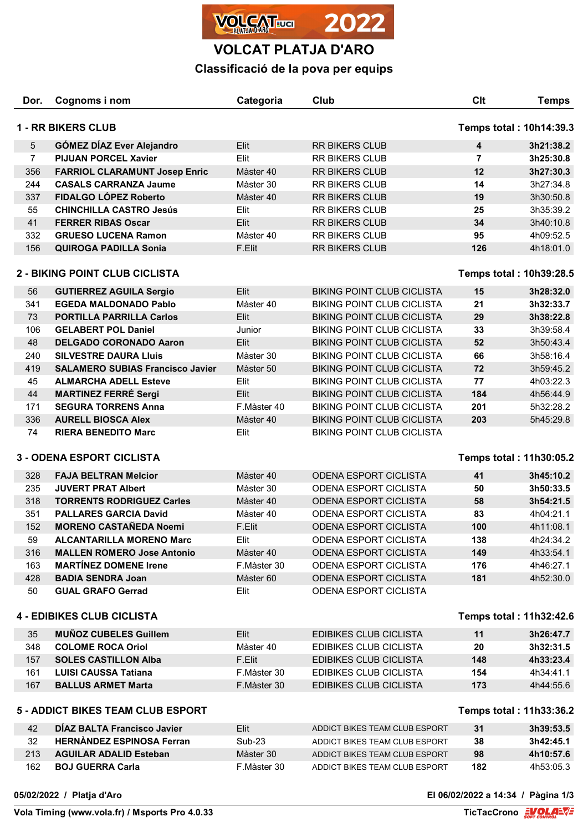

## **VOLCAT PLATJA D'ARO**

## **Classificació de la pova per equips**

| Dor.                                                 | Cognoms i nom                                                | Categoria     | Club                              | Clt                     | <b>Temps</b> |
|------------------------------------------------------|--------------------------------------------------------------|---------------|-----------------------------------|-------------------------|--------------|
| <b>1 - RR BIKERS CLUB</b><br>Temps total: 10h14:39.3 |                                                              |               |                                   |                         |              |
| 5                                                    | <b>GÓMEZ DÍAZ Ever Alejandro</b>                             | Elit          | <b>RR BIKERS CLUB</b>             | 4                       | 3h21:38.2    |
| $\overline{7}$                                       | <b>PIJUAN PORCEL Xavier</b>                                  | Elit          | RR BIKERS CLUB                    | $\overline{7}$          | 3h25:30.8    |
| 356                                                  | <b>FARRIOL CLARAMUNT Josep Enric</b>                         | Màster 40     | <b>RR BIKERS CLUB</b>             | 12                      | 3h27:30.3    |
| 244                                                  | <b>CASALS CARRANZA Jaume</b>                                 | Màster 30     | RR BIKERS CLUB                    | 14                      | 3h27:34.8    |
| 337                                                  | FIDALGO LÓPEZ Roberto                                        | Màster 40     | RR BIKERS CLUB                    | 19                      | 3h30:50.8    |
| 55                                                   | <b>CHINCHILLA CASTRO Jesús</b>                               | Elit          | RR BIKERS CLUB                    | 25                      | 3h35:39.2    |
| 41                                                   | <b>FERRER RIBAS Oscar</b>                                    | Elit          | RR BIKERS CLUB                    | 34                      | 3h40:10.8    |
| 332                                                  | <b>GRUESO LUCENA Ramon</b>                                   | Màster 40     | RR BIKERS CLUB                    | 95                      | 4h09:52.5    |
| 156                                                  | <b>QUIROGA PADILLA Sonia</b>                                 | F.Elit        | RR BIKERS CLUB                    | 126                     | 4h18:01.0    |
|                                                      | 2 - BIKING POINT CLUB CICLISTA                               |               |                                   | Temps total: 10h39:28.5 |              |
| 56                                                   | <b>GUTIERREZ AGUILA Sergio</b>                               | Elit          | <b>BIKING POINT CLUB CICLISTA</b> | 15                      | 3h28:32.0    |
| 341                                                  | <b>EGEDA MALDONADO Pablo</b>                                 | Màster 40     | <b>BIKING POINT CLUB CICLISTA</b> | 21                      | 3h32:33.7    |
| 73                                                   | <b>PORTILLA PARRILLA Carlos</b>                              | Elit          | <b>BIKING POINT CLUB CICLISTA</b> | 29                      | 3h38:22.8    |
| 106                                                  | <b>GELABERT POL Daniel</b>                                   | Junior        | <b>BIKING POINT CLUB CICLISTA</b> | 33                      | 3h39:58.4    |
| 48                                                   | <b>DELGADO CORONADO Aaron</b>                                | Elit          | <b>BIKING POINT CLUB CICLISTA</b> | 52                      | 3h50:43.4    |
| 240                                                  | <b>SILVESTRE DAURA LIUIS</b>                                 | Màster 30     | <b>BIKING POINT CLUB CICLISTA</b> | 66                      | 3h58:16.4    |
| 419                                                  | <b>SALAMERO SUBIAS Francisco Javier</b>                      | Màster 50     | <b>BIKING POINT CLUB CICLISTA</b> | 72                      | 3h59:45.2    |
| 45                                                   | <b>ALMARCHA ADELL Esteve</b>                                 | Elit          | <b>BIKING POINT CLUB CICLISTA</b> | 77                      | 4h03:22.3    |
| 44                                                   | <b>MARTINEZ FERRÉ Sergi</b>                                  | Elit          | <b>BIKING POINT CLUB CICLISTA</b> | 184                     | 4h56:44.9    |
| 171                                                  | <b>SEGURA TORRENS Anna</b>                                   | F.Màster 40   | <b>BIKING POINT CLUB CICLISTA</b> | 201                     | 5h32:28.2    |
| 336                                                  | <b>AURELL BIOSCA Alex</b>                                    | Màster 40     | <b>BIKING POINT CLUB CICLISTA</b> | 203                     | 5h45:29.8    |
| 74                                                   | <b>RIERA BENEDITO Marc</b>                                   | Elit          | <b>BIKING POINT CLUB CICLISTA</b> |                         |              |
| <b>3 - ODENA ESPORT CICLISTA</b>                     |                                                              |               |                                   | Temps total: 11h30:05.2 |              |
| 328                                                  | <b>FAJA BELTRAN Melcior</b>                                  | Màster 40     | <b>ODENA ESPORT CICLISTA</b>      | 41                      | 3h45:10.2    |
| 235                                                  | <b>JUVERT PRAT Albert</b>                                    | Màster 30     | <b>ODENA ESPORT CICLISTA</b>      | 50                      | 3h50:33.5    |
| 318                                                  | <b>TORRENTS RODRIGUEZ Carles</b>                             | Màster 40     | <b>ODENA ESPORT CICLISTA</b>      | 58                      | 3h54:21.5    |
| 351                                                  | <b>PALLARES GARCIA David</b>                                 | Màster 40     | ODENA ESPORT CICLISTA             | 83                      | 4h04:21.1    |
| 152                                                  | <b>MORENO CASTAÑEDA Noemi</b>                                | F.Elit        | <b>ODENA ESPORT CICLISTA</b>      | 100                     | 4h11:08.1    |
| 59                                                   | <b>ALCANTARILLA MORENO Marc</b>                              | Elit          | <b>ODENA ESPORT CICLISTA</b>      | 138                     | 4h24:34.2    |
| 316                                                  | <b>MALLEN ROMERO Jose Antonio</b>                            | Màster 40     | <b>ODENA ESPORT CICLISTA</b>      | 149                     | 4h33:54.1    |
| 163                                                  | <b>MARTINEZ DOMENE Irene</b>                                 | F.Màster 30   | <b>ODENA ESPORT CICLISTA</b>      | 176                     | 4h46:27.1    |
| 428                                                  | <b>BADIA SENDRA Joan</b>                                     | Màster 60     | <b>ODENA ESPORT CICLISTA</b>      | 181                     | 4h52:30.0    |
| 50                                                   | <b>GUAL GRAFO Gerrad</b>                                     | Elit          | ODENA ESPORT CICLISTA             |                         |              |
|                                                      | <b>4 - EDIBIKES CLUB CICLISTA</b><br>Temps total: 11h32:42.6 |               |                                   |                         |              |
| 35                                                   | <b>MUÑOZ CUBELES Guillem</b>                                 | Elit          | <b>EDIBIKES CLUB CICLISTA</b>     | 11                      | 3h26:47.7    |
| 348                                                  | <b>COLOME ROCA Oriol</b>                                     | Màster 40     | <b>EDIBIKES CLUB CICLISTA</b>     | 20                      | 3h32:31.5    |
| 157                                                  | <b>SOLES CASTILLON Alba</b>                                  | F.Elit        | <b>EDIBIKES CLUB CICLISTA</b>     | 148                     | 4h33:23.4    |
| 161                                                  | <b>LUISI CAUSSA Tatiana</b>                                  | F.Màster 30   | <b>EDIBIKES CLUB CICLISTA</b>     | 154                     | 4h34:41.1    |
| 167                                                  | <b>BALLUS ARMET Marta</b>                                    | F.Màster 30   | EDIBIKES CLUB CICLISTA            | 173                     | 4h44:55.6    |
| 5 - ADDICT BIKES TEAM CLUB ESPORT                    |                                                              |               |                                   | Temps total: 11h33:36.2 |              |
| 42                                                   | DÍAZ BALTA Francisco Javier                                  | Elit          | ADDICT BIKES TEAM CLUB ESPORT     | 31                      | 3h39:53.5    |
| 32                                                   | <b>HERNANDEZ ESPINOSA Ferran</b>                             | <b>Sub-23</b> | ADDICT BIKES TEAM CLUB ESPORT     | 38                      | 3h42:45.1    |
| 213                                                  | <b>AGUILAR ADALID Esteban</b>                                | Màster 30     | ADDICT BIKES TEAM CLUB ESPORT     | 98                      | 4h10:57.6    |
| 162                                                  | <b>BOJ GUERRA Carla</b>                                      | F.Màster 30   | ADDICT BIKES TEAM CLUB ESPORT     | 182                     | 4h53:05.3    |
|                                                      |                                                              |               |                                   |                         |              |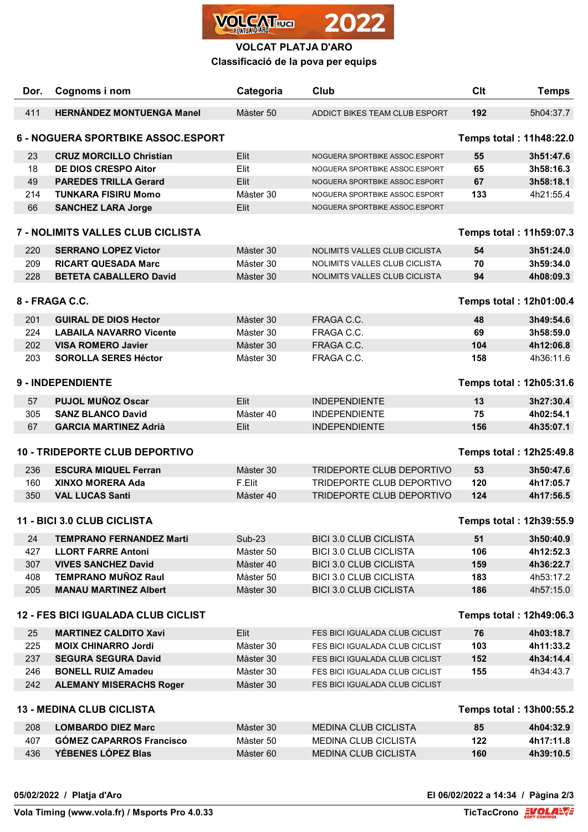

## **VOLCAT PLATJA D'ARO**

**Classificació de la pova per equips**

| Dor.                                                                        | Cognoms i nom                                                    | Categoria              | Club                                                       | <b>Clt</b> | <b>Temps</b>            |  |
|-----------------------------------------------------------------------------|------------------------------------------------------------------|------------------------|------------------------------------------------------------|------------|-------------------------|--|
| 411                                                                         | <b>HERNANDEZ MONTUENGA Manel</b>                                 | Màster 50              | ADDICT BIKES TEAM CLUB ESPORT                              | 192        | 5h04:37.7               |  |
| <b>6 - NOGUERA SPORTBIKE ASSOC.ESPORT</b><br><b>Temps total: 11h48:22.0</b> |                                                                  |                        |                                                            |            |                         |  |
| 23                                                                          | <b>CRUZ MORCILLO Christian</b>                                   | Elit                   | NOGUERA SPORTBIKE ASSOC.ESPORT                             | 55         | 3h51:47.6               |  |
| 18                                                                          | <b>DE DIOS CRESPO Aitor</b>                                      | Elit                   | NOGUERA SPORTBIKE ASSOC.ESPORT                             | 65         | 3h58:16.3               |  |
| 49                                                                          | <b>PAREDES TRILLA Gerard</b>                                     | Elit                   | NOGUERA SPORTBIKE ASSOC.ESPORT                             | 67         | 3h58:18.1               |  |
| 214                                                                         | <b>TUNKARA FISIRU Momo</b>                                       | Màster 30              | NOGUERA SPORTBIKE ASSOC.ESPORT                             | 133        | 4h21:55.4               |  |
| 66                                                                          | <b>SANCHEZ LARA Jorge</b>                                        | Elit                   | NOGUERA SPORTBIKE ASSOC.ESPORT                             |            |                         |  |
| 7 - NOLIMITS VALLES CLUB CICLISTA                                           |                                                                  |                        |                                                            |            | Temps total: 11h59:07.3 |  |
| 220                                                                         | <b>SERRANO LOPEZ Victor</b>                                      | Màster 30              | NOLIMITS VALLES CLUB CICLISTA                              | 54         | 3h51:24.0               |  |
| 209                                                                         | <b>RICART QUESADA Marc</b>                                       | Màster 30              | NOLIMITS VALLES CLUB CICLISTA                              | 70         | 3h59:34.0               |  |
| 228                                                                         | <b>BETETA CABALLERO David</b>                                    | Màster 30              | NOLIMITS VALLES CLUB CICLISTA                              | 94         | 4h08:09.3               |  |
| 8 - FRAGA C.C.                                                              |                                                                  |                        |                                                            |            | Temps total: 12h01:00.4 |  |
| 201                                                                         | <b>GUIRAL DE DIOS Hector</b>                                     | Màster 30              | FRAGA C.C.                                                 | 48         | 3h49:54.6               |  |
| 224                                                                         | <b>LABAILA NAVARRO Vicente</b>                                   | Màster 30              | FRAGA C.C.                                                 | 69         | 3h58:59.0               |  |
| 202                                                                         | <b>VISA ROMERO Javier</b>                                        | Màster 30              | FRAGA C.C.                                                 | 104        | 4h12:06.8               |  |
| 203                                                                         | <b>SOROLLA SERES Héctor</b>                                      | Màster 30              | FRAGA C.C.                                                 | 158        | 4h36:11.6               |  |
|                                                                             |                                                                  |                        |                                                            |            |                         |  |
| <b>9 - INDEPENDIENTE</b><br>Temps total: 12h05:31.6                         |                                                                  |                        |                                                            |            |                         |  |
| 57                                                                          | <b>PUJOL MUÑOZ Oscar</b>                                         | Elit                   | <b>INDEPENDIENTE</b>                                       | 13         | 3h27:30.4               |  |
| 305                                                                         | <b>SANZ BLANCO David</b>                                         | Màster 40              | <b>INDEPENDIENTE</b>                                       | 75         | 4h02:54.1               |  |
| 67                                                                          | <b>GARCIA MARTINEZ Adrià</b>                                     | Elit                   | <b>INDEPENDIENTE</b>                                       | 156        | 4h35:07.1               |  |
|                                                                             | <b>10 - TRIDEPORTE CLUB DEPORTIVO</b><br>Temps total: 12h25:49.8 |                        |                                                            |            |                         |  |
| 236                                                                         | <b>ESCURA MIQUEL Ferran</b>                                      | Màster 30              | TRIDEPORTE CLUB DEPORTIVO                                  | 53         | 3h50:47.6               |  |
| 160                                                                         | <b>XINXO MORERA Ada</b>                                          | F.Elit                 | TRIDEPORTE CLUB DEPORTIVO                                  | 120        | 4h17:05.7               |  |
| 350                                                                         | <b>VAL LUCAS Santi</b>                                           | Màster 40              | TRIDEPORTE CLUB DEPORTIVO                                  | 124        | 4h17:56.5               |  |
| 11 - BICI 3.0 CLUB CICLISTA<br>Temps total: 12h39:55.9                      |                                                                  |                        |                                                            |            |                         |  |
| 24                                                                          | <b>TEMPRANO FERNANDEZ Marti</b>                                  | <b>Sub-23</b>          | <b>BICI 3.0 CLUB CICLISTA</b>                              | 51         | 3h50:40.9               |  |
| 427                                                                         | <b>LLORT FARRE Antoni</b>                                        | Màster 50              | <b>BICI 3.0 CLUB CICLISTA</b>                              | 106        | 4h12:52.3               |  |
| 307                                                                         | <b>VIVES SANCHEZ David</b>                                       | Màster 40              | <b>BICI 3.0 CLUB CICLISTA</b>                              | 159        | 4h36:22.7               |  |
| 408                                                                         | <b>TEMPRANO MUÑOZ Raul</b>                                       | Màster 50              | <b>BICI 3.0 CLUB CICLISTA</b>                              | 183        | 4h53:17.2               |  |
| 205                                                                         | <b>MANAU MARTINEZ Albert</b>                                     | Màster 30              | <b>BICI 3.0 CLUB CICLISTA</b>                              | 186        | 4h57:15.0               |  |
| <b>12 - FES BICI IGUALADA CLUB CICLIST</b>                                  |                                                                  |                        |                                                            |            | Temps total: 12h49:06.3 |  |
| 25                                                                          | <b>MARTINEZ CALDITO Xavi</b>                                     | Elit                   | FES BICI IGUALADA CLUB CICLIST                             | 76         | 4h03:18.7               |  |
| 225                                                                         | <b>MOIX CHINARRO Jordi</b>                                       | Màster 30              | FES BICI IGUALADA CLUB CICLIST                             | 103        | 4h11:33.2               |  |
| 237                                                                         | <b>SEGURA SEGURA David</b>                                       | Màster 30              | FES BICI IGUALADA CLUB CICLIST                             | 152        | 4h34:14.4               |  |
| 246                                                                         | <b>BONELL RUIZ Amadeu</b>                                        | Màster 30              | FES BICI IGUALADA CLUB CICLIST                             | 155        | 4h34:43.7               |  |
| 242                                                                         | <b>ALEMANY MISERACHS Roger</b>                                   | Màster 30              | FES BICI IGUALADA CLUB CICLIST                             |            |                         |  |
| <b>13 - MEDINA CLUB CICLISTA</b><br>Temps total: 13h00:55.2                 |                                                                  |                        |                                                            |            |                         |  |
|                                                                             |                                                                  |                        |                                                            |            |                         |  |
| 208<br>407                                                                  | <b>LOMBARDO DIEZ Marc</b><br><b>GÓMEZ CAPARROS Francisco</b>     | Màster 30<br>Màster 50 | <b>MEDINA CLUB CICLISTA</b><br><b>MEDINA CLUB CICLISTA</b> | 85<br>122  | 4h04:32.9<br>4h17:11.8  |  |
| 436                                                                         | YÉBENES LÓPEZ Blas                                               | Màster 60              | MEDINA CLUB CICLISTA                                       | 160        | 4h39:10.5               |  |
|                                                                             |                                                                  |                        |                                                            |            |                         |  |

**05/02/2022 / Platja d'Aro El 06/02/2022 a 14:34 / Pàgina 2/3**

**Vola Timing (www.vola.fr) / Msports Pro 4.0.33**